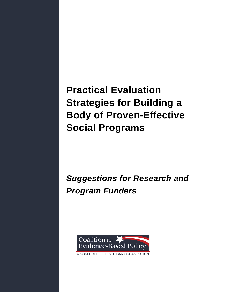**Practical Evaluation Strategies for Building a Body of Proven-Effective Social Programs**

*Suggestions for Research and Program Funders*



A NONPROFIT, NONPARTISAN ORGANIZATION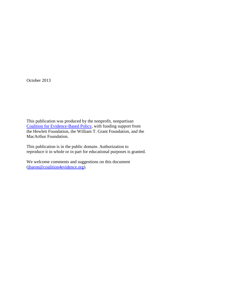October 2013

This publication was produced by the nonprofit, nonpartisan [Coalition for Evidence-Based Policy,](http://www.coalition4evidence.org/) with funding support from the Hewlett Foundation, the William T. Grant Foundation, and the MacArthur Foundation.

This publication is in the public domain. Authorization to reproduce it in whole or in part for educational purposes is granted.

We welcome comments and suggestions on this document [\(jbaron@coalition4evidence.org\)](mailto:jbaron@coalition4evidence.org).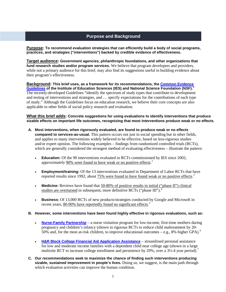# **Purpose and Background**

**Purpose: To recommend evaluation strategies that can efficiently build a body of social programs, practices, and strategies ("interventions") backed by credible evidence of effectiveness.**

**Target audience: Government agencies, philanthropic foundations, and other organizations that fund research studies and/or program services.** We believe that program developers and providers, while not a primary audience for this brief, may also find its suggestions useful in building evidence about their program's effectiveness.

**Background: This brief uses, as a framework for its recommendations, the [Common Evidence](http://ies.ed.gov/pdf/CommonGuidelines.pdf)  [Guidelines](http://ies.ed.gov/pdf/CommonGuidelines.pdf) of the Institute of Education Sciences (IES) and National Science Foundation (NSF).[1](#page-8-0)** The recently-developed Guidelines "identify the spectrum of study types that contribute to development and testing of interventions and strategies, and … specify expectations for the contributions of each type of study." Although the Guidelines focus on education research, we believe their core concepts are also applicable to other fields of social policy research and evaluation.

**What this brief adds: Concrete suggestions for using evaluations to identify interventions that produce sizable effects on important life outcomes, recognizing that most interventions produce weak or no effects**.

- **A. Most interventions, when rigorously evaluated, are found to produce weak or no effects compared to services-as-usual.** This pattern occurs not just in social spending but in other fields, and applies to many interventions widely believed to be effective, based on less-rigorous studies and/or expert opinion. The following examples – findings from randomized controlled trials (RCTs), which are generally considered the strongest method of evaluating effectiveness – illustrate the pattern:
	- **Education:** Of the 90 interventions evaluated in RCTs commissioned by IES since 2002, approximately 90% were found to have weak or no positive effects.<sup>[2](#page-8-1)</sup>
	- **Employment/training:** Of the 13 interventions evaluated in Department of Labor RCTs that have reported results since 1992, about **75%** were found to have found weak or no positive effects.<sup>[3](#page-8-2)</sup>
	- **Medicine:** Reviews have found that 50-80% of positive results in initial ("phase II") clinical studies are overturned in subsequent, more definitive RCTs ("phase III").<sup>[4](#page-8-3)</sup>
	- **Business:** Of 13,000 RCTs of new products/strategies conducted by Google and Microsoft in recent years, 80-90% have reportedly found no significant effects.<sup>[5](#page-8-4)</sup>

### **B. However, some interventions have been found highly effective in rigorous evaluations, such as:**

- **[Nurse-Family Partnership](http://toptierevidence.org/wordpress/?page_id=168)** a nurse visitation program for low-income, first-time mothers during pregnancy and children's infancy (shown in rigorous RCTs to reduce child maltreatment by 20- 50% and, for the most at-risk children, to improve educational outcomes  $-$  e.g., 8% higher GPA).<sup>[6](#page-8-5)</sup>
- **[H&R Block College Financial Aid Application Assistance](http://toptierevidence.org/wordpress/?page_id=1038)** streamlined personal assistance for low and moderate income families with a dependent child near college age (shown in a large multisite RCT to increase college enrollment and persistence by 29%, over a  $3\frac{1}{2}$ -4 year period).<sup>[7](#page-8-6)</sup>
- **C. Our recommendations seek to maximize the chance of finding such interventions producing sizable, sustained improvement in people's lives.** Doing so, we suggest, is the main path through which evaluation activities can improve the human condition.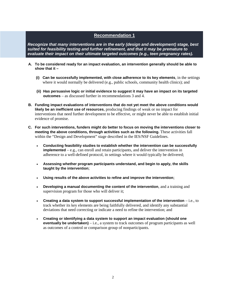*Recognize that many interventions are in the early (design and development) stage, best suited for feasibility testing and further refinement, and that it may be premature to evaluate their impact on their ultimate targeted outcomes (e.g., teen pregnancy rates).* 

- **A. To be considered ready for an impact evaluation, an intervention generally should be able to show that it –** 
	- **(i) Can be successfully implemented, with close adherence to its key elements**, in the settings where it would normally be delivered (e.g., public schools, community health clinics); and
	- **(ii) Has persuasive logic or initial evidence to suggest it may have an impact on its targeted outcomes** – as discussed further in recommendations 3 and 4.
- **B. Funding impact evaluations of interventions that do not yet meet the above conditions would likely be an inefficient use of resources**, producing findings of weak or no impact for interventions that need further development to be effective, or might never be able to establish initial evidence of promise.
- **C. For such interventions, funders might do better to focus on moving the interventions closer to meeting the above conditions, through activities such as the following.** These activities fall within the "Design and Development" stage described in the IES/NSF Guidelines.
	- **Conducting feasibility studies to establish whether the intervention can be successfully implemented** – e.g., can enroll and retain participants, and deliver the intervention in adherence to a well-defined protocol, in settings where it would typically be delivered;
	- **Assessing whether program participants understand, and begin to apply, the skills taught by the intervention**;
	- **Using results of the above activities to refine and improve the intervention**;
	- **Developing a manual documenting the content of the intervention**, and a training and supervision program for those who will deliver it;
	- **Creating a data system to support successful implementation of the intervention** i.e., to track whether its key elements are being faithfully delivered, and identify any substantial deviations that need correcting or indicate a need to refine the intervention; and
	- **Creating or identifying a data system to support an impact evaluation (should one eventually be undertaken)** – i.e., a system to track outcomes of program participants as well as outcomes of a control or comparison group of nonparticipants.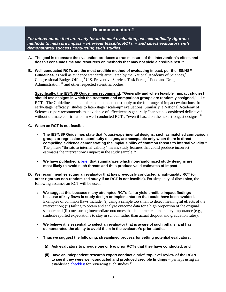*For interventions that are ready for an impact evaluation, use scientifically-rigorous methods to measure impact – wherever feasible, RCTs – and select evaluators with demonstrated success conducting such studies.* 

- **A. The goal is to ensure the evaluation produces a true measure of the intervention's effect, and doesn't consume time and resources on methods that may not yield a credible result.**
- **B. Well-conducted RCTs are the most credible method of evaluating impact, per the IES/NSF Guidelines**, as well as evidence standards articulated by the National Academy of Sciences,<sup>[8](#page-8-7)</sup> Congressional Budget Office,<sup>[9](#page-8-8)</sup> U.S. Preventive Services Task Force,<sup>[10](#page-8-9)</sup> Food and Drug Administration, $^{11}$  $^{11}$  $^{11}$  and other respected scientific bodies.

**Specifically, the IES/NSF Guidelines recommend: "Generally and when feasible, [impact studies] should use designs in which the treatment and comparison groups are randomly assigned,"** – i.e., RCTs. The Guidelines intend this recommendation to apply to the full range of impact evaluations, from early-stage "efficacy" studies to later-stage "scale-up" evaluations. Similarly, a National Academy of Sciences report recommends that evidence of effectiveness generally "cannot be considered definitive" without ultimate confirmation in well-conducted RCTs, "even if based on the next strongest designs."<sup>8</sup>

- **C. When an RCT is not feasible –**
	- **The IES/NSF Guidelines state that "quasi-experimental designs, such as matched comparison groups or regression discontinuity designs, are acceptable only when there is direct compelling evidence demonstrating the implausibility of common threats to internal validity."** The phrase "threats to internal validity" means study features that could produce incorrect estimates the intervention's impact in the study sample.<sup>[12](#page-8-11)</sup>
	- **We have published a [brief](http://coalition4evidence.org/wp-content/uploads/2013/05/Validity-of-comparison-group-designs-updated-Feb-2012.pdf) that summarizes which non-randomized study designs are most likely to avoid such threats and thus produce valid estimates of impact**. [13](#page-8-12)
- **D. We recommend selecting an evaluator that has previously conducted a high-quality RCT (or other rigorous non-randomized study if an RCT is not feasible).** For simplicity of discussion, the following assumes an RCT will be used.
	- **We suggest this because many attempted RCTs fail to yield credible impact findings because of key flaws in study design or implementation that could have been avoided.** Examples of common flaws include: (i) using a sample too small to detect meaningful effects of the intervention; (ii) failing to obtain and analyze outcome data for a high proportion of the original sample; and (iii) measuring intermediate outcomes that lack practical and policy importance (e.g., student-reported expectations to stay in school, rather than actual dropout and graduation rates).
	- **We believe it is essential to select an evaluator that is aware of such pitfalls, and has demonstrated the ability to avoid them in the evaluator's prior studies.**
	- **Thus we suggest the following, streamlined process for vetting potential evaluators**:
		- **(i) Ask evaluators to provide one or two prior RCTs that they have conducted; and**
		- **(ii) Have an independent research expert conduct a brief, top-level review of the RCTs** to see if they were well-conducted and produced credible findings – perhaps using an established [checklist](http://coalition4evidence.org/wp-content/uploads/2010/02/Checklist-For-Reviewing-a-RCT-Jan10.pdf) for reviewing such studies.<sup>[14](#page-8-13)</sup>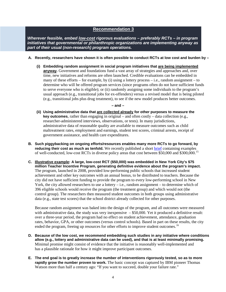*Wherever feasible, embed low-cost rigorous evaluations – preferably RCTs – in program initiatives that governmental or philanthropic organizations are implementing anyway as part of their usual (non-research) program operations.* 

- **A. Recently, researchers have shown it is often possible to conduct RCTs at low cost and burden by –**
	- **(i) Embedding random assignment in social program initiatives that are being implemented anyway.** Government and foundations fund a vast array of strategies and approaches and, over time, new initiatives and reforms are often launched. Credible evaluations can be embedded in many of these efforts – for example, by (i) using a lottery process – i.e., random assignment – to determine who will be offered program services (since programs often do not have sufficient funds to serve everyone who is eligible); or (ii) randomly assigning some individuals to the program's usual approach (e.g., transitional jobs for ex-offenders) versus a revised model that is being piloted (e.g., transitional jobs plus drug treatment), to see if the new model produces better outcomes.

**– and –**

- **(ii) Using administrative data that are collected already for other purposes to measure the key outcomes**, rather than engaging in original – and often costly – data collection (e.g., researcher-administered interviews, observations, or tests). In many jurisdictions, administrative data of reasonable quality are available to measure outcomes such as child maltreatment rates, employment and earnings, student test scores, criminal arrests, receipt of government assistance, and health care expenditures.
- **B. Such piggybacking on ongoing efforts/resources enables many more RCTs to go forward, by reducing their cost as much as tenfold.** We recently published a short [brief](http://coalition4evidence.org/wp-content/uploads/2012/03/Rigorous-Program-Evaluations-on-a-Budget-March-2012.pdf) containing examples of well-conducted, low-cost RCTs in diverse policy areas that cost between \$50,000 and \$300,000.[15](#page-8-14)
- **C. Illustrative example: A large, low-cost RCT (\$50,000) was embedded in New York City's \$75 million Teacher Incentive Program, generating definitive evidence about the program's impact.**  The program, launched in 2008, provided low-performing public schools that increased student achievement and other key outcomes with an annual bonus, to be distributed to teachers. Because the city did not have sufficient funding to provide the program to every low-performing school in New York, the city allowed researchers to use a lottery – i.e., random assignment – to determine which of 396 eligible schools would receive the program (the treatment group) and which would not (the control group). The researchers then measured student outcomes in both groups using administrative data (e.g., state test scores) that the school district already collected for other purposes.

Because random assignment was baked into the design of the program, and all outcomes were measured with administrative data, the study was very inexpensive  $-$  \$50,000. Yet it produced a definitive result: over a three-year period, the program had no effect on student achievement, attendance, graduation rates, behavior, GPA, or other outcomes (versus control schools). Based in part on these results, the city ended the program, freeing up resources for other efforts to improve student outcomes.<sup>[16](#page-8-15)</sup>

- **D. Because of the low cost, we recommend embedding such studies in any initiative where conditions allow (e.g., lottery and administrative data can be used), and that is at least minimally promising.** Minimal promise might consist of evidence that the initiative is reasonably well-implemented and has a plausible rationale for how it might improve participant outcomes.
- **E. The end goal is to greatly increase the number of interventions rigorously tested, so as to more rapidly grow the number proven to work.** The basic concept was captured by IBM pioneer Thomas Watson more than half a century ago: "If you want to succeed, double your failure rate."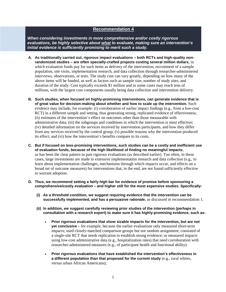*When considering investments in more comprehensive and/or costly rigorous evaluations, be highly selective about what to evaluate, making sure an intervention's initial evidence is sufficiently promising to merit such a study.* 

- **A. As traditionally carried out, rigorous impact evaluations – both RCTs and high-quality nonrandomized studies – are often specially-crafted projects costing several million dollars**, in which evaluation funds pay for such items as delivery of the intervention, recruitment of a sample population, site visits, implementation research, and data collection through researcher-administered interviews, observations, or tests. The study cost can vary greatly, depending on how many of the above items will be funded, as well as factors such as sample size, number of study sites, and duration of the study. Cost typically exceeds \$1 million and in some cases may reach tens of millions, with the largest cost components usually being data collection and intervention delivery.
- **B. Such studies, when focused on highly-promising interventions, can generate evidence that is of great value for decision-making about whether and how to scale up the intervention.** Such evidence may include, for example: (i) corroboration of earlier impact findings (e.g., from a low-cost RCT) in a different sample and setting, thus generating strong, replicated evidence of effectiveness; (ii) estimates of the intervention's effect on outcomes other than those measurable with administrative data; (iii) the subgroups and conditions in which the intervention is most effective; (iv) detailed information on the services received by intervention participants, and how they differ from any services received by the control group; (v) possible reasons why the intervention produced its effect; and (vi) how the intervention's benefits compare to its costs.
- **C. But if focused on less-promising interventions, such studies can be a costly and inefficient use of evaluation funds, because of the high likelihood of finding no meaningful impacts**, as has been the clear pattern in past rigorous evaluations (as described earlier). Too often, in these cases, large investments are made in extensive implementation research and data collection (e.g., to learn about implementation challenges, mechanisms through which impacts occur, and effects on a broad set of outcome measures) for interventions that, in the end, are not found sufficiently effective to warrant adoption.
- **D. Thus, we recommend setting a fairly high bar for evidence of promise before sponsoring a comprehensive/costly evaluation – and higher still for the most expensive studies. Specifically:** 
	- **(i) As a threshold condition, we suggest requiring evidence that the intervention can be successfully implemented, and has a persuasive rationale**, as discussed in recommendation 1.
	- **(ii) In addition, we suggest carefully reviewing prior studies of the intervention (perhaps in consultation with a research expert) to make sure it has highly-promising evidence, such as:** 
		- **Prior rigorous evaluations that show sizable impacts for the intervention, but are not yet conclusive** – for example, because the earlier evaluations only measured short-term impacts; used closely-matched comparison groups but not random assignment; consisted of a single-site RCT that needs replication to establish strong evidence; or measured impacts using low-cost administrative data (e.g., hospitalization rates) that need corroboration with researcher-administered measures (e.g., of participant health and functional ability).
		- **Prior rigorous evaluations that have established the intervention's effectiveness in a different population than that proposed for the current study** (e.g., rural whites, versus urban African Americans);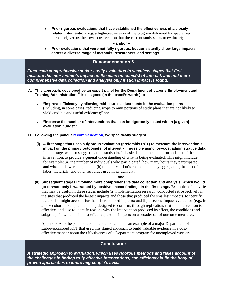• **Prior rigorous evaluations that have established the effectiveness of a closelyrelated intervention** (e.g. a high-cost version of the program delivered by specialized personnel, versus the lower-cost version that the current study seeks to evaluate);

**– and/or –**

• **Prior evaluations that were not fully rigorous, but consistently show large impacts across a diverse range of methods, researchers, and settings.** 

# **Recommendation 5**

*Fund each comprehensive and/or costly evaluation in seamless stages that first measure the intervention's impact on the main outcome(s) of interest, and add more comprehensive data collection and analysis only if such impact is found.* 

- **A. This approach, developed by an expert panel for the Department of Labor's Employment and Training Administration**, [17](#page-8-16) i**s designed (in the panel's words) to –**
	- **"improve efficiency by allowing mid-course adjustments in the evaluation plans**  (including, in some cases, reducing scope to omit portions of study plans that are not likely to yield credible and useful evidence);" and
	- **"increase the number of interventions that can be rigorously tested within [a given] evaluation budget."**
- **B. Following the panel's [recommendation,](http://coalition4evidence.org/wp-content/uploads/2013/09/Recommendations-of-peer-review-panel-on-DOL-ETA-evaluation-program-June-2013.pdf) we specifically suggest –**
	- **(i) A first stage that uses a rigorous evaluation (preferably RCT) to measure the intervention's impact on the primary outcome(s) of interest – if possible using low-cost administrative data.** In this stage, we also suggest that the study obtain basic data on the operation and cost of the intervention, to provide a general understanding of what is being evaluated. This might include, for example: (a) the number of individuals who participated, how many hours they participated, and what skills were taught; and (b) the intervention's cost, obtained by aggregating the cost of labor, materials, and other resources used in its delivery.

#### **– and –**

**(ii) Subsequent stages involving more comprehensive data collection and analysis, which would go forward only if warranted by positive impact findings in the first stage.** Examples of activities that may be useful in these stages include (a) implementation research, conducted retrospectively in the sites that produced the largest impacts and those that produced the smallest impacts, to identify factors that might account for the different-sized impacts; and (b) a second impact evaluation (e.g., in a new cohort of sample members) designed to confirm, through replication, that the intervention is effective, and also to identify reasons why the intervention produced its effect, the conditions and subgroups in which it is most effective, and its impacts on a broader set of outcome measures.

Appendix A to the panel's recommendation contains an example of a major Department of Labor-sponsored RCT that used this staged approach to build valuable evidence in a costeffective manner about the effectiveness of a Department program for unemployed workers.

# **Conclusion:**

*A strategic approach to evaluation, which uses rigorous methods and takes account of the challenges in finding truly effective interventions, can efficiently build the body of proven approaches to improving people's lives.*